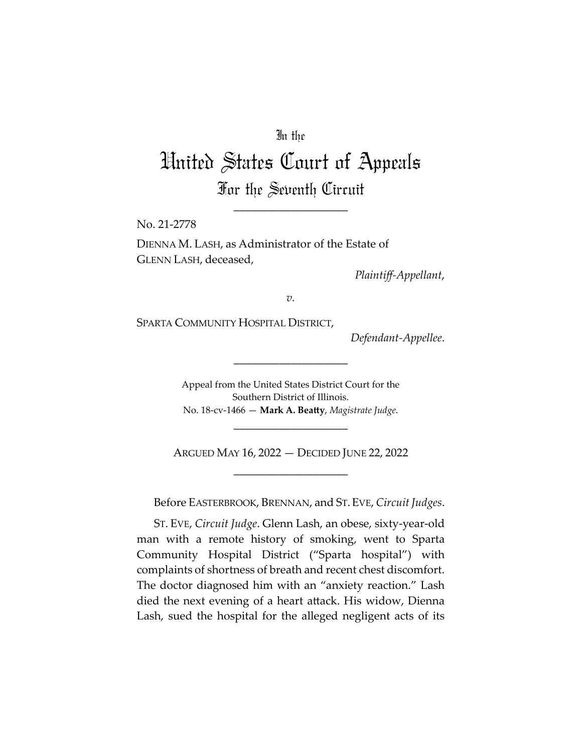### In the

# United States Court of Appeals For the Seventh Circuit

\_\_\_\_\_\_\_\_\_\_\_\_\_\_\_\_\_\_\_\_

No. 21-2778

DIENNA M. LASH, as Administrator of the Estate of GLENN LASH, deceased,

*Plaintiff-Appellant*,

*v.*

SPARTA COMMUNITY HOSPITAL DISTRICT,

*Defendant-Appellee*.

Appeal from the United States District Court for the Southern District of Illinois. No. 18-cv-1466 — **Mark A. Beatty**, *Magistrate Judge*.

\_\_\_\_\_\_\_\_\_\_\_\_\_\_\_\_\_\_\_\_

\_\_\_\_\_\_\_\_\_\_\_\_\_\_\_\_\_\_\_\_

ARGUED MAY 16, 2022 — DECIDED JUNE 22, 2022 \_\_\_\_\_\_\_\_\_\_\_\_\_\_\_\_\_\_\_\_

Before EASTERBROOK, BRENNAN, and ST.EVE, *Circuit Judges*.

ST. EVE, *Circuit Judge*. Glenn Lash, an obese, sixty-year-old man with a remote history of smoking, went to Sparta Community Hospital District ("Sparta hospital") with complaints of shortness of breath and recent chest discomfort. The doctor diagnosed him with an "anxiety reaction." Lash died the next evening of a heart attack. His widow, Dienna Lash, sued the hospital for the alleged negligent acts of its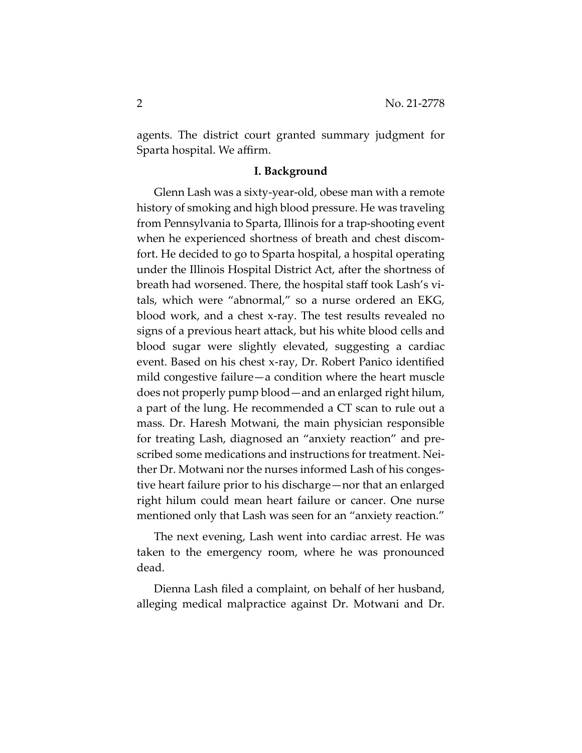agents. The district court granted summary judgment for Sparta hospital. We affirm.

#### **I. Background**

Glenn Lash was a sixty-year-old, obese man with a remote history of smoking and high blood pressure. He was traveling from Pennsylvania to Sparta, Illinois for a trap-shooting event when he experienced shortness of breath and chest discomfort. He decided to go to Sparta hospital, a hospital operating under the Illinois Hospital District Act, after the shortness of breath had worsened. There, the hospital staff took Lash's vitals, which were "abnormal," so a nurse ordered an EKG, blood work, and a chest x-ray. The test results revealed no signs of a previous heart attack, but his white blood cells and blood sugar were slightly elevated, suggesting a cardiac event. Based on his chest x-ray, Dr. Robert Panico identified mild congestive failure—a condition where the heart muscle does not properly pump blood—and an enlarged right hilum, a part of the lung. He recommended a CT scan to rule out a mass. Dr. Haresh Motwani, the main physician responsible for treating Lash, diagnosed an "anxiety reaction" and prescribed some medications and instructions for treatment. Neither Dr. Motwani nor the nurses informed Lash of his congestive heart failure prior to his discharge—nor that an enlarged right hilum could mean heart failure or cancer. One nurse mentioned only that Lash was seen for an "anxiety reaction."

The next evening, Lash went into cardiac arrest. He was taken to the emergency room, where he was pronounced dead.

Dienna Lash filed a complaint, on behalf of her husband, alleging medical malpractice against Dr. Motwani and Dr.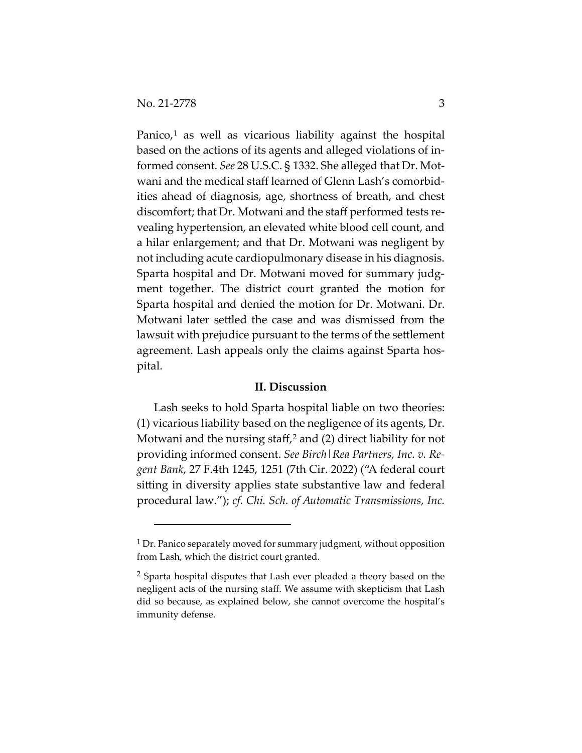Panico, $1$  as well as vicarious liability against the hospital based on the actions of its agents and alleged violations of informed consent. *See* 28 U.S.C. § 1332. She alleged that Dr. Motwani and the medical staff learned of Glenn Lash's comorbidities ahead of diagnosis, age, shortness of breath, and chest discomfort; that Dr. Motwani and the staff performed tests revealing hypertension, an elevated white blood cell count, and a hilar enlargement; and that Dr. Motwani was negligent by not including acute cardiopulmonary disease in his diagnosis. Sparta hospital and Dr. Motwani moved for summary judgment together. The district court granted the motion for Sparta hospital and denied the motion for Dr. Motwani. Dr. Motwani later settled the case and was dismissed from the lawsuit with prejudice pursuant to the terms of the settlement agreement. Lash appeals only the claims against Sparta hospital.

#### **II. Discussion**

Lash seeks to hold Sparta hospital liable on two theories: (1) vicarious liability based on the negligence of its agents, Dr. Motwani and the nursing staff,<sup>[2](#page-2-1)</sup> and (2) direct liability for not providing informed consent. *See Birch|Rea Partners, Inc. v. Regent Bank*, 27 F.4th 1245, 1251 (7th Cir. 2022) ("A federal court sitting in diversity applies state substantive law and federal procedural law."); *cf. Chi. Sch. of Automatic Transmissions, Inc.* 

<span id="page-2-0"></span><sup>&</sup>lt;sup>1</sup> Dr. Panico separately moved for summary judgment, without opposition from Lash, which the district court granted.

<span id="page-2-1"></span><sup>&</sup>lt;sup>2</sup> Sparta hospital disputes that Lash ever pleaded a theory based on the negligent acts of the nursing staff. We assume with skepticism that Lash did so because, as explained below, she cannot overcome the hospital's immunity defense.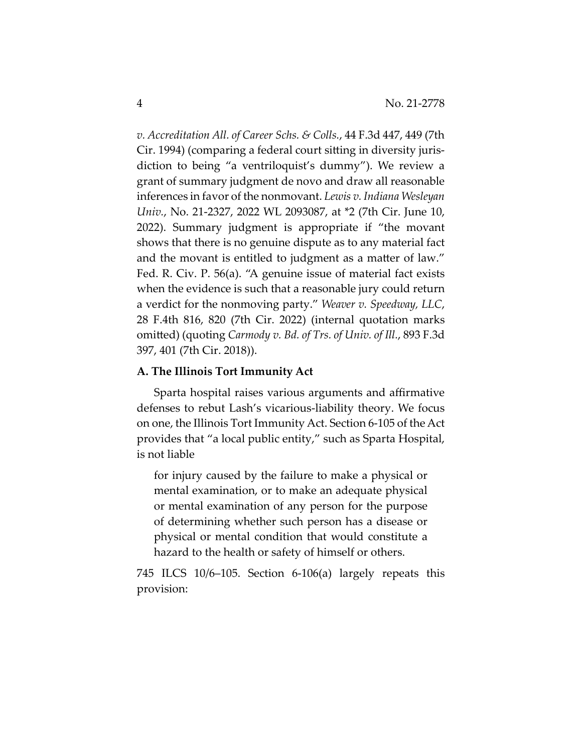*v. Accreditation All. of Career Schs. & Colls.*, 44 F.3d 447, 449 (7th Cir. 1994) (comparing a federal court sitting in diversity jurisdiction to being "a ventriloquist's dummy"). We review a grant of summary judgment de novo and draw all reasonable inferences in favor of the nonmovant. *Lewis v. Indiana Wesleyan Univ.*, No. 21-2327, 2022 WL 2093087, at \*2 (7th Cir. June 10, 2022). Summary judgment is appropriate if "the movant shows that there is no genuine dispute as to any material fact and the movant is entitled to judgment as a matter of law." Fed. R. Civ. P. 56(a). "A genuine issue of material fact exists when the evidence is such that a reasonable jury could return a verdict for the nonmoving party." *Weaver v. Speedway, LLC*, 28 F.4th 816, 820 (7th Cir. 2022) (internal quotation marks omitted) (quoting *Carmody v. Bd. of Trs. of Univ. of Ill.*, 893 F.3d 397, 401 (7th Cir. 2018)).

#### **A. The Illinois Tort Immunity Act**

Sparta hospital raises various arguments and affirmative defenses to rebut Lash's vicarious-liability theory. We focus on one, the Illinois Tort Immunity Act. Section 6-105 of the Act provides that "a local public entity," such as Sparta Hospital, is not liable

for injury caused by the failure to make a physical or mental examination, or to make an adequate physical or mental examination of any person for the purpose of determining whether such person has a disease or physical or mental condition that would constitute a hazard to the health or safety of himself or others.

745 ILCS 10/6–105. Section 6-106(a) largely repeats this provision: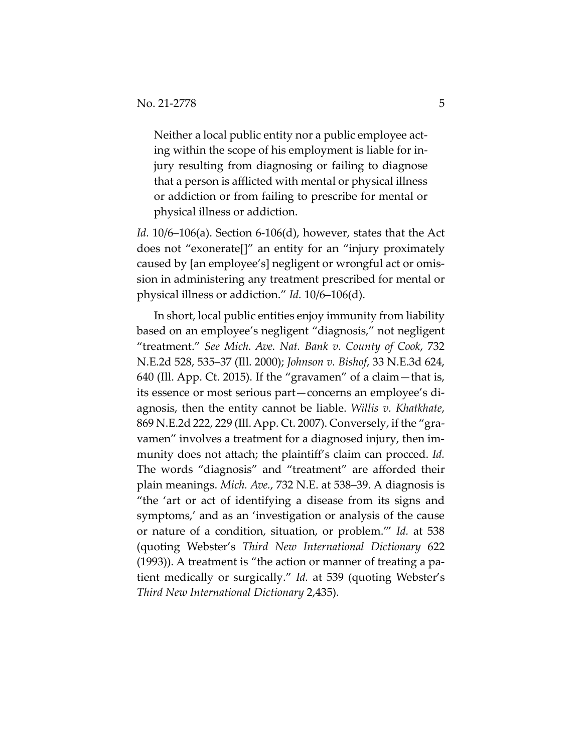Neither a local public entity nor a public employee acting within the scope of his employment is liable for injury resulting from diagnosing or failing to diagnose that a person is afflicted with mental or physical illness or addiction or from failing to prescribe for mental or physical illness or addiction.

*Id.* 10/6–106(a). Section 6-106(d), however, states that the Act does not "exonerate[]" an entity for an "injury proximately caused by [an employee's] negligent or wrongful act or omission in administering any treatment prescribed for mental or physical illness or addiction." *Id.* 10/6–106(d).

In short, local public entities enjoy immunity from liability based on an employee's negligent "diagnosis," not negligent "treatment." *See Mich. Ave. Nat. Bank v. County of Cook*, 732 N.E.2d 528, 535–37 (Ill. 2000); *Johnson v. Bishof*, 33 N.E.3d 624, 640 (Ill. App. Ct. 2015). If the "gravamen" of a claim—that is, its essence or most serious part—concerns an employee's diagnosis, then the entity cannot be liable. *Willis v. Khatkhate*, 869 N.E.2d 222, 229 (Ill. App. Ct. 2007). Conversely, if the "gravamen" involves a treatment for a diagnosed injury, then immunity does not attach; the plaintiff's claim can procced. *Id.* The words "diagnosis" and "treatment" are afforded their plain meanings. *Mich. Ave.*, 732 N.E. at 538–39. A diagnosis is "the 'art or act of identifying a disease from its signs and symptoms,' and as an 'investigation or analysis of the cause or nature of a condition, situation, or problem.'" *Id.* at 538 (quoting Webster's *Third New International Dictionary* 622 (1993)). A treatment is "the action or manner of treating a patient medically or surgically." *Id.* at 539 (quoting Webster's *Third New International Dictionary* 2,435).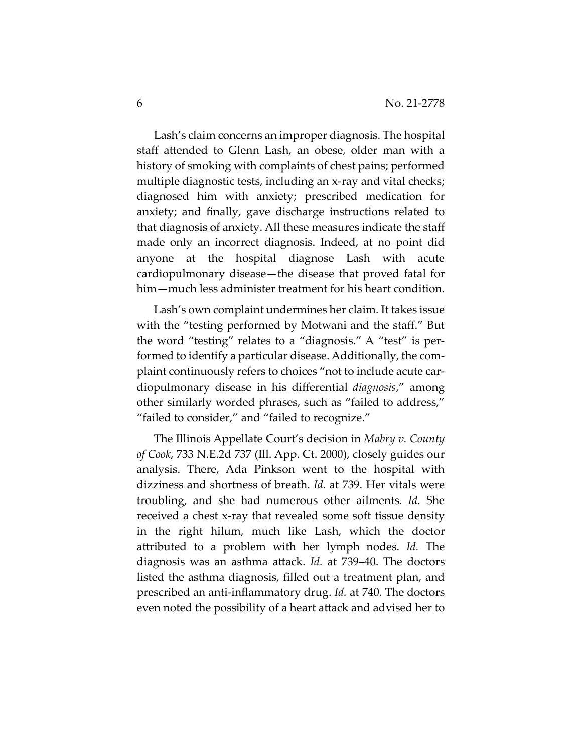Lash's claim concerns an improper diagnosis. The hospital staff attended to Glenn Lash, an obese, older man with a history of smoking with complaints of chest pains; performed multiple diagnostic tests, including an x-ray and vital checks; diagnosed him with anxiety; prescribed medication for anxiety; and finally, gave discharge instructions related to that diagnosis of anxiety. All these measures indicate the staff made only an incorrect diagnosis. Indeed, at no point did anyone at the hospital diagnose Lash with acute cardiopulmonary disease—the disease that proved fatal for him—much less administer treatment for his heart condition.

Lash's own complaint undermines her claim. It takes issue with the "testing performed by Motwani and the staff." But the word "testing" relates to a "diagnosis." A "test" is performed to identify a particular disease. Additionally, the complaint continuously refers to choices "not to include acute cardiopulmonary disease in his differential *diagnosis*," among other similarly worded phrases, such as "failed to address," "failed to consider," and "failed to recognize."

The Illinois Appellate Court's decision in *Mabry v. County of Cook*, 733 N.E.2d 737 (Ill. App. Ct. 2000), closely guides our analysis. There, Ada Pinkson went to the hospital with dizziness and shortness of breath. *Id.* at 739. Her vitals were troubling, and she had numerous other ailments. *Id.* She received a chest x-ray that revealed some soft tissue density in the right hilum, much like Lash, which the doctor attributed to a problem with her lymph nodes. *Id.* The diagnosis was an asthma attack. *Id.* at 739–40. The doctors listed the asthma diagnosis, filled out a treatment plan, and prescribed an anti-inflammatory drug. *Id.* at 740. The doctors even noted the possibility of a heart attack and advised her to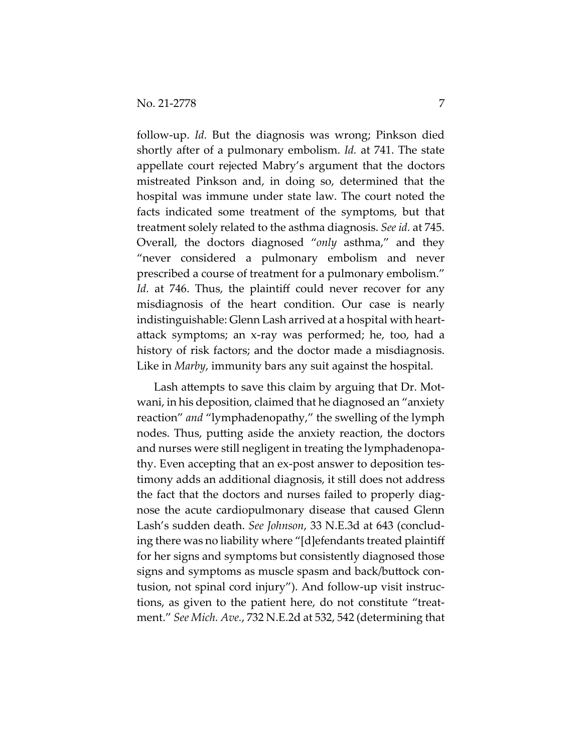follow-up. *Id.* But the diagnosis was wrong; Pinkson died shortly after of a pulmonary embolism. *Id.* at 741. The state appellate court rejected Mabry's argument that the doctors mistreated Pinkson and, in doing so, determined that the hospital was immune under state law. The court noted the facts indicated some treatment of the symptoms, but that treatment solely related to the asthma diagnosis. *See id.* at 745. Overall, the doctors diagnosed "*only* asthma," and they "never considered a pulmonary embolism and never prescribed a course of treatment for a pulmonary embolism." *Id.* at 746. Thus, the plaintiff could never recover for any misdiagnosis of the heart condition. Our case is nearly indistinguishable: Glenn Lash arrived at a hospital with heartattack symptoms; an x-ray was performed; he, too, had a history of risk factors; and the doctor made a misdiagnosis. Like in *Marby*, immunity bars any suit against the hospital.

Lash attempts to save this claim by arguing that Dr. Motwani, in his deposition, claimed that he diagnosed an "anxiety reaction" *and* "lymphadenopathy," the swelling of the lymph nodes. Thus, putting aside the anxiety reaction, the doctors and nurses were still negligent in treating the lymphadenopathy. Even accepting that an ex-post answer to deposition testimony adds an additional diagnosis, it still does not address the fact that the doctors and nurses failed to properly diagnose the acute cardiopulmonary disease that caused Glenn Lash's sudden death. *See Johnson*, 33 N.E.3d at 643 (concluding there was no liability where "[d]efendants treated plaintiff for her signs and symptoms but consistently diagnosed those signs and symptoms as muscle spasm and back/buttock contusion, not spinal cord injury"). And follow-up visit instructions, as given to the patient here, do not constitute "treatment." *See Mich. Ave.*, 732 N.E.2d at 532, 542 (determining that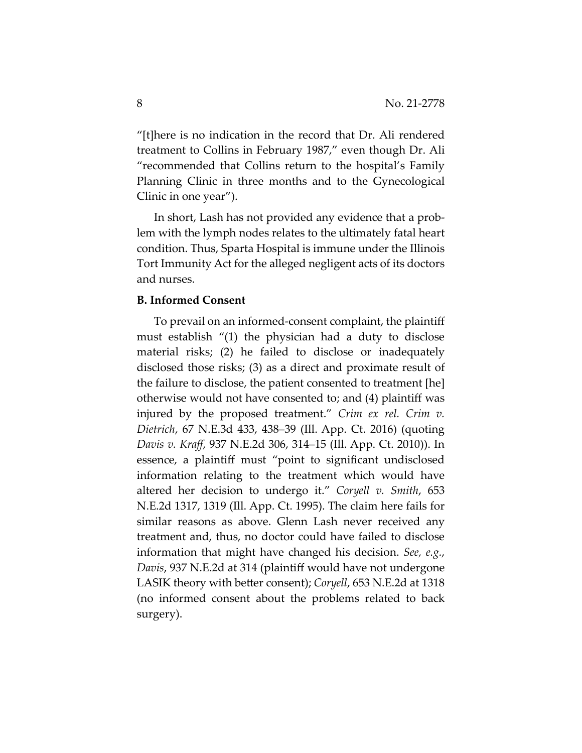"[t]here is no indication in the record that Dr. Ali rendered treatment to Collins in February 1987," even though Dr. Ali "recommended that Collins return to the hospital's Family Planning Clinic in three months and to the Gynecological Clinic in one year").

In short, Lash has not provided any evidence that a problem with the lymph nodes relates to the ultimately fatal heart condition. Thus, Sparta Hospital is immune under the Illinois Tort Immunity Act for the alleged negligent acts of its doctors and nurses.

#### **B. Informed Consent**

To prevail on an informed-consent complaint, the plaintiff must establish "(1) the physician had a duty to disclose material risks; (2) he failed to disclose or inadequately disclosed those risks; (3) as a direct and proximate result of the failure to disclose, the patient consented to treatment [he] otherwise would not have consented to; and (4) plaintiff was injured by the proposed treatment." *Crim ex rel. Crim v. Dietrich*, 67 N.E.3d 433, 438–39 (Ill. App. Ct. 2016) (quoting *Davis v. Kraff*, 937 N.E.2d 306, 314–15 (Ill. App. Ct. 2010)). In essence, a plaintiff must "point to significant undisclosed information relating to the treatment which would have altered her decision to undergo it." *Coryell v. Smith*, 653 N.E.2d 1317, 1319 (Ill. App. Ct. 1995). The claim here fails for similar reasons as above. Glenn Lash never received any treatment and, thus, no doctor could have failed to disclose information that might have changed his decision. *See, e.g.*, *Davis*, 937 N.E.2d at 314 (plaintiff would have not undergone LASIK theory with better consent); *Coryell*, 653 N.E.2d at 1318 (no informed consent about the problems related to back surgery).